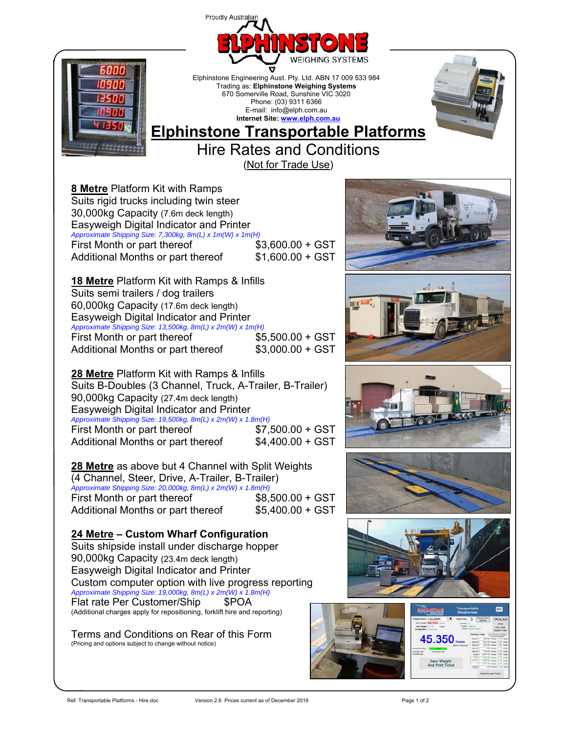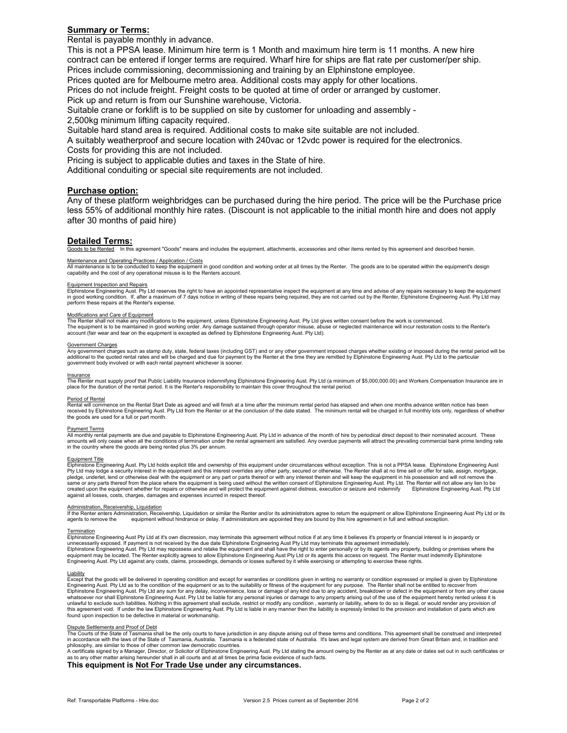# **Summary or Terms:**

Rental is payable monthly in advance.

This is not a PPSA lease. Minimum hire term is 1 Month and maximum hire term is 11 months. A new hire contract can be entered if longer terms are required. Wharf hire for ships are flat rate per customer/per ship. Prices include commissioning, decommissioning and training by an Elphinstone employee.

Prices quoted are for Melbourne metro area. Additional costs may apply for other locations.

Prices do not include freight. Freight costs to be quoted at time of order or arranged by customer.

Pick up and return is from our Sunshine warehouse, Victoria.

Suitable crane or forklift is to be supplied on site by customer for unloading and assembly -

2,500kg minimum lifting capacity required.

Suitable hard stand area is required. Additional costs to make site suitable are not included.

A suitably weatherproof and secure location with 240vac or 12vdc power is required for the electronics. Costs for providing this are not included.

Pricing is subject to applicable duties and taxes in the State of hire.

Additional conduiting or special site requirements are not included.

## **Purchase option:**

Any of these platform weighbridges can be purchased during the hire period. The price will be the Purchase price less 55% of additional monthly hire rates. (Discount is not applicable to the initial month hire and does not apply after 30 months of paid hire)

## **Detailed Terms:**

In this agreement "Goods" means and includes the equipment, attachments, accessories and other items rented by this agreement and described herein.

<u>Maintenance and Operating Practices / Application / Costs</u><br>All maintenance is to be conducted to keep the equipment in good condition and working order at all times by the Renter. The goods are to be operated within the capability and the cost of any operational misuse is to the Renters account.

<u>Equipment Inspection and Repairs</u><br>Elphinstone Engineering Aust. Pty Ltd reserves the right to have an appointed representative inspect the equipment at any time and advise of any repairs necessary to keep the equipment in good working condition. If, after a maximum of 7 days notice in writing of these repairs being required, they are not carried out by the Renter, Elphinstone Engineering Aust. Pty Ltd may perform these repairs at the Renter's expense.

### Modifications and Care of Equipment

The Renter shall not make any modifications to the equipment, unless Elphinstone Engineering Aust. Pty Ltd gives written consent before the work is commenced. The equipment is to be maintained in good working order. Any damage sustained through operator misuse, abuse or neglected maintenance will incur restoration costs to the Renter's<br>account (fair wear and tear on the equipmen

### Government Charges

Any government charges such as stamp duty, state, federal taxes (including GST) and or any other government imposed charges whether existing or imposed during the rental period will be additional to the quoted rental rates and will be charged and due for payment by the Renter at the time they are remitted by Elphinstone Engineering Aust. Pty Ltd to the particular and will be charged and due for payment b government body involved or with each rental payment whichever is sooner.

<u>Insurance</u><br>The Renter must supply proof that Public Liability Insurance indemnifying Elphinstone Engineering Aust. Pty Ltd (a minimum of \$5,000,000.00) and Workers Compensation Insurance are in<br>place for the duration of t

### Period of Rental

Rental will commence on the Rental Start Date as agreed and will finish at a time after the minimum rental period has elapsed and when one months advance written notice has been received by Elphinstone Engineering Aust. Pty Ltd from the Renter or at the conclusion of the date stated. The minimum rental will be charged in full monthly lots only, regardless of whether the goods are used for a full or part month.

### Payment Terms

All monthly rental payments are due and payable to Elphinstone Engineering Aust. Pty Ltd in advance of the month of hire by periodical direct deposit to their nominated account. These amounts will only cease when all the conditions of termination under the rental agreement are satisfied. Any overdue payments will attract the prevailing commercial bank prime lending rate in the country where the goods are being rented plus 3% per annum.

### Equipment Title

Elphinstone Engineering Aust. Pty Ltd holds explicit title and ownership of this equipment under circumstances without exception. This is not a PPSA lease. Elphinstone Engineering Aust Pty Ltd may lodge a security interest in the equipment and this interest overrides any other party, secured or otherwise. The Renter shall at no time sell or offer for sale, assign, mortgage,<br>pledge, underlet, lend or othe same or any parts thereof from the place where the equipment is being used without the written consent of Elphinstone Engineering Aust. Pty Ltd. The Renter will not allow any lien to be<br>created upon the equipment whether f against all losses, costs, charges, damages and expenses incurred in respect thereof.

<u>Administration. Receivership, Liquidation</u><br>If the Renter enters Administration, Receivership, Liquidation or similar the Renter and/or its administrators agree to return the equipment or allow Elphinstone Engineering Aust agents to remove the equipment without hindrance or delay. If administrators are appointed they are bound by this hire agreement in full and without exception.

<u>Termination</u><br>Elphinstone Engineering Aust Pty Ltd at it's own discression, may terminate this agreement without notice if at any time it believes it's property or financial interest is in jeopardy or<br>unnecessarily exposed equipment may be located. The Renter explicitly agrees to allow Elphinstone Engineering Aust Pty Ltd or its agents this access on request. The Renter must indemnify Elphinstone<br>Engineering Aust. Pty Ltd against any costs,

<u>Liability</u><br>Except that the goods will be delivered in operating condition and except for warranties or conditions given in writing no warranty or condition expressed or implied is given by Elphinstone<br>Engineering Aust. Pt Elphinstone Engineering Aust. Pty Ltd any sum for any delay, inconvenience, loss or damage of any kind due to any accident, breakdown or defect in the equipment or from any other cause<br>whatsoever nor shall Elphinstone Engi this agreement void. If under the law Elphinstone Engineering Aust. Pty Ltd is liable in any manner then the liability is expressly limited to the provision and installation of parts which are<br>found upon inspection to be d

<u>Dispute Settlements and Proof of Debt</u><br>The Courts of the State of Tasmania shall be the only courts to have jurisdiction in any dispute arising out of these terms and conditions. This agreement shall be construed and inte in accordance with the laws of the State of Tasmania, Australia. Tasmania is a federated state of Australia. It's laws and legal system are derived from Great Britain and, in tradition and philosophy, are similar to those of other common law democratic countries.

A certificate signed by a Manager, Director, or Solicitor of Elphinstone Engineering Aust. Pty Ltd stating the amount owing by the Renter as at any date or dates set out in such certificates or<br>as to any other matter arisi

## **This equipment is Not For Trade Use under any circumstances.**